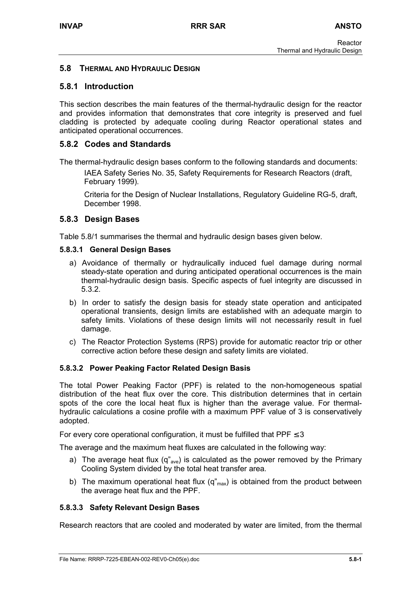# **5.8 THERMAL AND HYDRAULIC DESIGN**

## **5.8.1 Introduction**

This section describes the main features of the thermal-hydraulic design for the reactor and provides information that demonstrates that core integrity is preserved and fuel cladding is protected by adequate cooling during Reactor operational states and anticipated operational occurrences.

### **5.8.2 Codes and Standards**

The thermal-hydraulic design bases conform to the following standards and documents:

IAEA Safety Series No. 35, Safety Requirements for Research Reactors (draft, February 1999).

Criteria for the Design of Nuclear Installations, Regulatory Guideline RG-5, draft, December 1998.

## **5.8.3 Design Bases**

Table 5.8/1 summarises the thermal and hydraulic design bases given below.

#### **5.8.3.1 General Design Bases**

- a) Avoidance of thermally or hydraulically induced fuel damage during normal steady-state operation and during anticipated operational occurrences is the main thermal-hydraulic design basis. Specific aspects of fuel integrity are discussed in 5.3.2.
- b) In order to satisfy the design basis for steady state operation and anticipated operational transients, design limits are established with an adequate margin to safety limits. Violations of these design limits will not necessarily result in fuel damage.
- c) The Reactor Protection Systems (RPS) provide for automatic reactor trip or other corrective action before these design and safety limits are violated.

#### **5.8.3.2 Power Peaking Factor Related Design Basis**

The total Power Peaking Factor (PPF) is related to the non-homogeneous spatial distribution of the heat flux over the core. This distribution determines that in certain spots of the core the local heat flux is higher than the average value. For thermalhydraulic calculations a cosine profile with a maximum PPF value of 3 is conservatively adopted.

For every core operational configuration, it must be fulfilled that  $PPF \leq 3$ 

The average and the maximum heat fluxes are calculated in the following way:

- a) The average heat flux  $(q^{\prime}_{ave})$  is calculated as the power removed by the Primary Cooling System divided by the total heat transfer area.
- b) The maximum operational heat flux  $(q_{max})$  is obtained from the product between the average heat flux and the PPF.

#### **5.8.3.3 Safety Relevant Design Bases**

Research reactors that are cooled and moderated by water are limited, from the thermal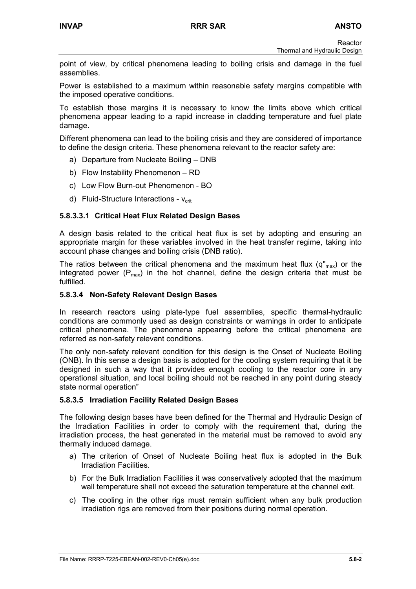Reactor Thermal and Hydraulic Design

point of view, by critical phenomena leading to boiling crisis and damage in the fuel assemblies.

Power is established to a maximum within reasonable safety margins compatible with the imposed operative conditions.

To establish those margins it is necessary to know the limits above which critical phenomena appear leading to a rapid increase in cladding temperature and fuel plate damage.

Different phenomena can lead to the boiling crisis and they are considered of importance to define the design criteria. These phenomena relevant to the reactor safety are:

- a) Departure from Nucleate Boiling DNB
- b) Flow Instability Phenomenon RD
- c) Low Flow Burn-out Phenomenon BO
- d) Fluid-Structure Interactions  $V_{crit}$

## **5.8.3.3.1 Critical Heat Flux Related Design Bases**

A design basis related to the critical heat flux is set by adopting and ensuring an appropriate margin for these variables involved in the heat transfer regime, taking into account phase changes and boiling crisis (DNB ratio).

The ratios between the critical phenomena and the maximum heat flux ( $q_{max}$ ) or the integrated power  $(P_{max})$  in the hot channel, define the design criteria that must be fulfilled.

#### **5.8.3.4 Non-Safety Relevant Design Bases**

In research reactors using plate-type fuel assemblies, specific thermal-hydraulic conditions are commonly used as design constraints or warnings in order to anticipate critical phenomena. The phenomena appearing before the critical phenomena are referred as non-safety relevant conditions.

The only non-safety relevant condition for this design is the Onset of Nucleate Boiling (ONB). In this sense a design basis is adopted for the cooling system requiring that it be designed in such a way that it provides enough cooling to the reactor core in any operational situation, and local boiling should not be reached in any point during steady state normal operation"

#### **5.8.3.5 Irradiation Facility Related Design Bases**

The following design bases have been defined for the Thermal and Hydraulic Design of the Irradiation Facilities in order to comply with the requirement that, during the irradiation process, the heat generated in the material must be removed to avoid any thermally induced damage.

- a) The criterion of Onset of Nucleate Boiling heat flux is adopted in the Bulk Irradiation Facilities.
- b) For the Bulk Irradiation Facilities it was conservatively adopted that the maximum wall temperature shall not exceed the saturation temperature at the channel exit.
- c) The cooling in the other rigs must remain sufficient when any bulk production irradiation rigs are removed from their positions during normal operation.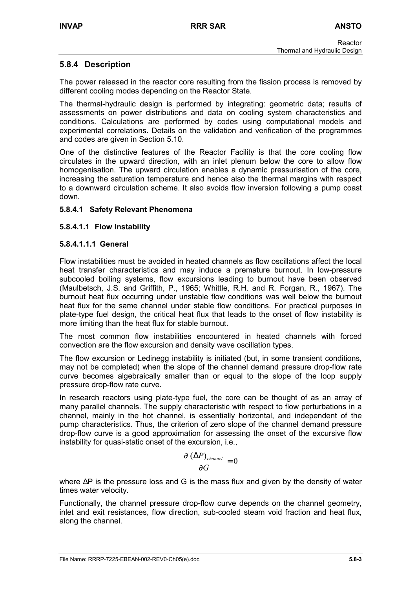# **5.8.4 Description**

The power released in the reactor core resulting from the fission process is removed by different cooling modes depending on the Reactor State.

The thermal-hydraulic design is performed by integrating: geometric data; results of assessments on power distributions and data on cooling system characteristics and conditions. Calculations are performed by codes using computational models and experimental correlations. Details on the validation and verification of the programmes and codes are given in Section 5.10.

One of the distinctive features of the Reactor Facility is that the core cooling flow circulates in the upward direction, with an inlet plenum below the core to allow flow homogenisation. The upward circulation enables a dynamic pressurisation of the core, increasing the saturation temperature and hence also the thermal margins with respect to a downward circulation scheme. It also avoids flow inversion following a pump coast down.

## **5.8.4.1 Safety Relevant Phenomena**

## **5.8.4.1.1 Flow Instability**

#### **5.8.4.1.1.1 General**

Flow instabilities must be avoided in heated channels as flow oscillations affect the local heat transfer characteristics and may induce a premature burnout. In low-pressure subcooled boiling systems, flow excursions leading to burnout have been observed (Maulbetsch, J.S. and Griffith, P., 1965; Whittle, R.H. and R. Forgan, R., 1967). The burnout heat flux occurring under unstable flow conditions was well below the burnout heat flux for the same channel under stable flow conditions. For practical purposes in plate-type fuel design, the critical heat flux that leads to the onset of flow instability is more limiting than the heat flux for stable burnout.

The most common flow instabilities encountered in heated channels with forced convection are the flow excursion and density wave oscillation types.

The flow excursion or Ledinegg instability is initiated (but, in some transient conditions, may not be completed) when the slope of the channel demand pressure drop-flow rate curve becomes algebraically smaller than or equal to the slope of the loop supply pressure drop-flow rate curve.

In research reactors using plate-type fuel, the core can be thought of as an array of many parallel channels. The supply characteristic with respect to flow perturbations in a channel, mainly in the hot channel, is essentially horizontal, and independent of the pump characteristics. Thus, the criterion of zero slope of the channel demand pressure drop-flow curve is a good approximation for assessing the onset of the excursive flow instability for quasi-static onset of the excursion, i.e.,

$$
\frac{\partial (\Delta P)_{channel}}{\partial G} = 0
$$

where ∆P is the pressure loss and G is the mass flux and given by the density of water times water velocity.

Functionally, the channel pressure drop-flow curve depends on the channel geometry, inlet and exit resistances, flow direction, sub-cooled steam void fraction and heat flux, along the channel.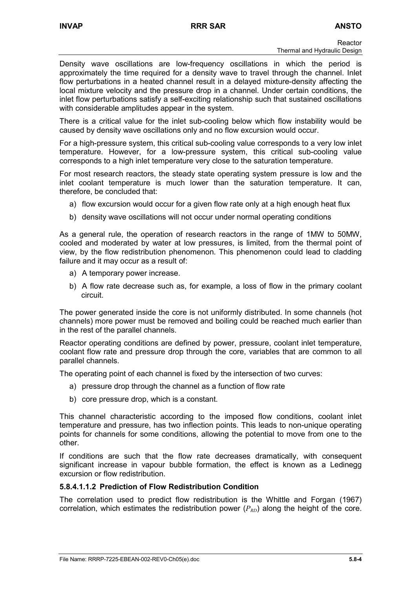Density wave oscillations are low-frequency oscillations in which the period is approximately the time required for a density wave to travel through the channel. Inlet flow perturbations in a heated channel result in a delayed mixture-density affecting the local mixture velocity and the pressure drop in a channel. Under certain conditions, the inlet flow perturbations satisfy a self-exciting relationship such that sustained oscillations with considerable amplitudes appear in the system.

There is a critical value for the inlet sub-cooling below which flow instability would be caused by density wave oscillations only and no flow excursion would occur.

For a high-pressure system, this critical sub-cooling value corresponds to a very low inlet temperature. However, for a low-pressure system, this critical sub-cooling value corresponds to a high inlet temperature very close to the saturation temperature.

For most research reactors, the steady state operating system pressure is low and the inlet coolant temperature is much lower than the saturation temperature. It can, therefore, be concluded that:

- a) flow excursion would occur for a given flow rate only at a high enough heat flux
- b) density wave oscillations will not occur under normal operating conditions

As a general rule, the operation of research reactors in the range of 1MW to 50MW, cooled and moderated by water at low pressures, is limited, from the thermal point of view, by the flow redistribution phenomenon. This phenomenon could lead to cladding failure and it may occur as a result of:

- a) A temporary power increase.
- b) A flow rate decrease such as, for example, a loss of flow in the primary coolant circuit.

The power generated inside the core is not uniformly distributed. In some channels (hot channels) more power must be removed and boiling could be reached much earlier than in the rest of the parallel channels.

Reactor operating conditions are defined by power, pressure, coolant inlet temperature, coolant flow rate and pressure drop through the core, variables that are common to all parallel channels.

The operating point of each channel is fixed by the intersection of two curves:

- a) pressure drop through the channel as a function of flow rate
- b) core pressure drop, which is a constant.

This channel characteristic according to the imposed flow conditions, coolant inlet temperature and pressure, has two inflection points. This leads to non-unique operating points for channels for some conditions, allowing the potential to move from one to the other.

If conditions are such that the flow rate decreases dramatically, with consequent significant increase in vapour bubble formation, the effect is known as a Ledinegg excursion or flow redistribution.

#### **5.8.4.1.1.2 Prediction of Flow Redistribution Condition**

The correlation used to predict flow redistribution is the Whittle and Forgan (1967) correlation, which estimates the redistribution power  $(P_{RD})$  along the height of the core.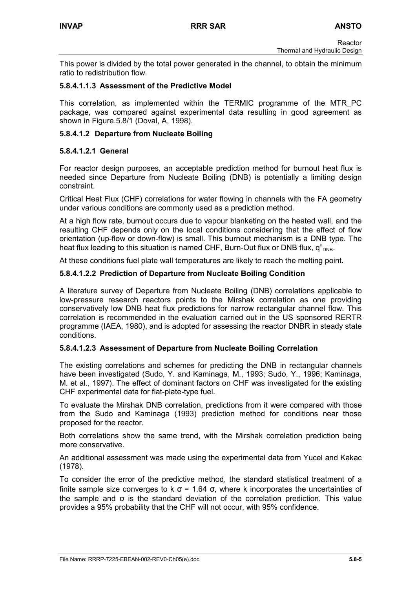This power is divided by the total power generated in the channel, to obtain the minimum ratio to redistribution flow.

## **5.8.4.1.1.3 Assessment of the Predictive Model**

This correlation, as implemented within the TERMIC programme of the MTR\_PC package, was compared against experimental data resulting in good agreement as shown in Figure.5.8/1 (Doval, A, 1998).

## **5.8.4.1.2 Departure from Nucleate Boiling**

## **5.8.4.1.2.1 General**

For reactor design purposes, an acceptable prediction method for burnout heat flux is needed since Departure from Nucleate Boiling (DNB) is potentially a limiting design constraint.

Critical Heat Flux (CHF) correlations for water flowing in channels with the FA geometry under various conditions are commonly used as a prediction method.

At a high flow rate, burnout occurs due to vapour blanketing on the heated wall, and the resulting CHF depends only on the local conditions considering that the effect of flow orientation (up-flow or down-flow) is small. This burnout mechanism is a DNB type. The heat flux leading to this situation is named CHF, Burn-Out flux or DNB flux,  $q_{\text{DNB}}^{\prime}$ .

At these conditions fuel plate wall temperatures are likely to reach the melting point.

## **5.8.4.1.2.2 Prediction of Departure from Nucleate Boiling Condition**

A literature survey of Departure from Nucleate Boiling (DNB) correlations applicable to low-pressure research reactors points to the Mirshak correlation as one providing conservatively low DNB heat flux predictions for narrow rectangular channel flow. This correlation is recommended in the evaluation carried out in the US sponsored RERTR programme (IAEA, 1980), and is adopted for assessing the reactor DNBR in steady state conditions.

#### **5.8.4.1.2.3 Assessment of Departure from Nucleate Boiling Correlation**

The existing correlations and schemes for predicting the DNB in rectangular channels have been investigated (Sudo, Y. and Kaminaga, M., 1993; Sudo, Y., 1996; Kaminaga, M. et al., 1997). The effect of dominant factors on CHF was investigated for the existing CHF experimental data for flat-plate-type fuel.

To evaluate the Mirshak DNB correlation, predictions from it were compared with those from the Sudo and Kaminaga (1993) prediction method for conditions near those proposed for the reactor.

Both correlations show the same trend, with the Mirshak correlation prediction being more conservative.

An additional assessment was made using the experimental data from Yucel and Kakac (1978).

To consider the error of the predictive method, the standard statistical treatment of a finite sample size converges to k  $\sigma$  = 1.64  $\sigma$ , where k incorporates the uncertainties of the sample and  $\sigma$  is the standard deviation of the correlation prediction. This value provides a 95% probability that the CHF will not occur, with 95% confidence.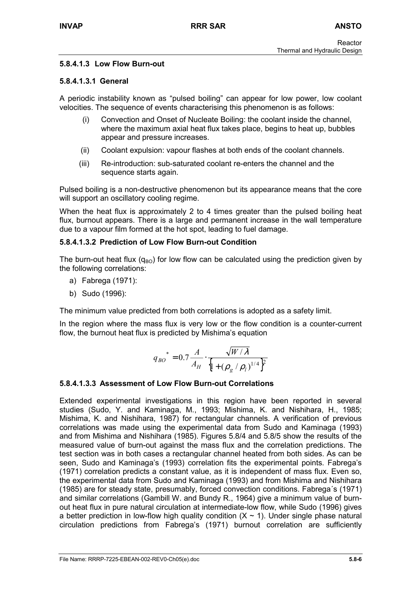## **5.8.4.1.3 Low Flow Burn-out**

### **5.8.4.1.3.1 General**

A periodic instability known as "pulsed boiling" can appear for low power, low coolant velocities. The sequence of events characterising this phenomenon is as follows:

- (i) Convection and Onset of Nucleate Boiling: the coolant inside the channel, where the maximum axial heat flux takes place, begins to heat up, bubbles appear and pressure increases.
- (ii) Coolant expulsion: vapour flashes at both ends of the coolant channels.
- (iii) Re-introduction: sub-saturated coolant re-enters the channel and the sequence starts again.

Pulsed boiling is a non-destructive phenomenon but its appearance means that the core will support an oscillatory cooling regime.

When the heat flux is approximately 2 to 4 times greater than the pulsed boiling heat flux, burnout appears. There is a large and permanent increase in the wall temperature due to a vapour film formed at the hot spot, leading to fuel damage.

## **5.8.4.1.3.2 Prediction of Low Flow Burn-out Condition**

The burn-out heat flux  $(q_{BO})$  for low flow can be calculated using the prediction given by the following correlations:

- a) Fabrega (1971):
- b) Sudo (1996):

The minimum value predicted from both correlations is adopted as a safety limit.

In the region where the mass flux is very low or the flow condition is a counter-current flow, the burnout heat flux is predicted by Mishima's equation

$$
q_{BO}^* = 0.7 \frac{A}{A_H} \cdot \frac{\sqrt{W/\lambda}}{\left\{1 + (\rho_g / \rho_l)^{1/4}\right\}^2}
$$

# **5.8.4.1.3.3 Assessment of Low Flow Burn-out Correlations**

Extended experimental investigations in this region have been reported in several studies (Sudo, Y. and Kaminaga, M., 1993; Mishima, K. and Nishihara, H., 1985; Mishima, K. and Nishihara, 1987) for rectangular channels. A verification of previous correlations was made using the experimental data from Sudo and Kaminaga (1993) and from Mishima and Nishihara (1985). Figures 5.8/4 and 5.8/5 show the results of the measured value of burn-out against the mass flux and the correlation predictions. The test section was in both cases a rectangular channel heated from both sides. As can be seen, Sudo and Kaminaga's (1993) correlation fits the experimental points. Fabrega's (1971) correlation predicts a constant value, as it is independent of mass flux. Even so, the experimental data from Sudo and Kaminaga (1993) and from Mishima and Nishihara (1985) are for steady state, presumably, forced convection conditions. Fabrega´s (1971) and similar correlations (Gambill W. and Bundy R., 1964) give a minimum value of burnout heat flux in pure natural circulation at intermediate-low flow, while Sudo (1996) gives a better prediction in low-flow high quality condition  $(X \sim 1)$ . Under single phase natural circulation predictions from Fabrega's (1971) burnout correlation are sufficiently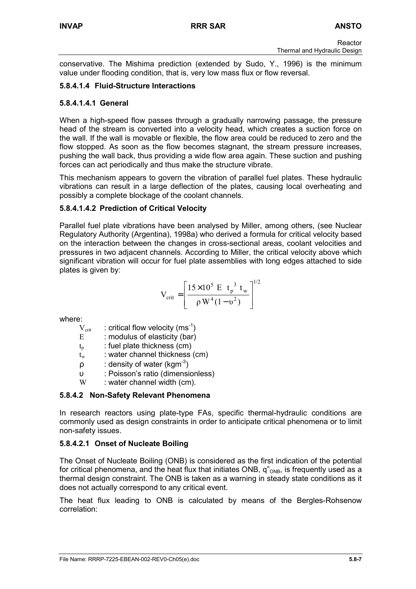conservative. The Mishima prediction (extended by Sudo, Y., 1996) is the minimum value under flooding condition, that is, very low mass flux or flow reversal.

# **5.8.4.1.4 Fluid-Structure Interactions**

## **5.8.4.1.4.1 General**

When a high-speed flow passes through a gradually narrowing passage, the pressure head of the stream is converted into a velocity head, which creates a suction force on the wall. If the wall is movable or flexible, the flow area could be reduced to zero and the flow stopped. As soon as the flow becomes stagnant, the stream pressure increases, pushing the wall back, thus providing a wide flow area again. These suction and pushing forces can act periodically and thus make the structure vibrate.

This mechanism appears to govern the vibration of parallel fuel plates. These hydraulic vibrations can result in a large deflection of the plates, causing local overheating and possibly a complete blockage of the coolant channels.

# **5.8.4.1.4.2 Prediction of Critical Velocity**

Parallel fuel plate vibrations have been analysed by Miller, among others, (see Nuclear Regulatory Authority (Argentina), 1998a) who derived a formula for critical velocity based on the interaction between the changes in cross-sectional areas, coolant velocities and pressures in two adjacent channels. According to Miller, the critical velocity above which significant vibration will occur for fuel plate assemblies with long edges attached to side plates is given by:

$$
V_{\text{crit}} = \left[ \frac{15 \times 10^5 \text{ E } t_p^3 t_w}{\rho \text{ W}^4 (1 - v^2)} \right]^{1/2}
$$

where:

- $V_{\text{crit}}$  : critical flow velocity (ms<sup>-1</sup>)
- E : modulus of elasticity (bar)
- $t<sub>p</sub>$  : fuel plate thickness (cm)
- $t_w$  : water channel thickness (cm)
- $\rho$  : density of water (kgm<sup>-3</sup>)
- υ : Poisson's ratio (dimensionless)
- W : water channel width (cm).

# **5.8.4.2 Non-Safety Relevant Phenomena**

In research reactors using plate-type FAs, specific thermal-hydraulic conditions are commonly used as design constraints in order to anticipate critical phenomena or to limit non-safety issues.

# **5.8.4.2.1 Onset of Nucleate Boiling**

The Onset of Nucleate Boiling (ONB) is considered as the first indication of the potential for critical phenomena, and the heat flux that initiates ONB,  $q''_{ONB}$ , is frequently used as a thermal design constraint. The ONB is taken as a warning in steady state conditions as it does not actually correspond to any critical event.

The heat flux leading to ONB is calculated by means of the Bergles-Rohsenow correlation: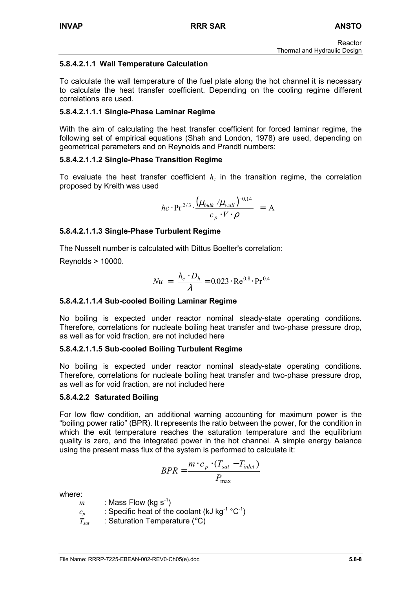# **5.8.4.2.1.1 Wall Temperature Calculation**

To calculate the wall temperature of the fuel plate along the hot channel it is necessary to calculate the heat transfer coefficient. Depending on the cooling regime different correlations are used.

# **5.8.4.2.1.1.1 Single-Phase Laminar Regime**

With the aim of calculating the heat transfer coefficient for forced laminar regime, the following set of empirical equations (Shah and London, 1978) are used, depending on geometrical parameters and on Reynolds and Prandtl numbers:

# **5.8.4.2.1.1.2 Single-Phase Transition Regime**

To evaluate the heat transfer coefficient  $h_c$  in the transition regime, the correlation proposed by Kreith was used

$$
hc \cdot \text{Pr}^{2/3} \cdot \frac{\left(\mu_{bulk} / \mu_{wall}\right)^{-0.14}}{c_p \cdot V \cdot \rho} = A
$$

# **5.8.4.2.1.1.3 Single-Phase Turbulent Regime**

The Nusselt number is calculated with Dittus Boelter's correlation:

Reynolds > 10000.

$$
Nu = \frac{h_c \cdot D_h}{\lambda} = 0.023 \cdot \text{Re}^{0.8} \cdot \text{Pr}^{0.4}
$$

# **5.8.4.2.1.1.4 Sub-cooled Boiling Laminar Regime**

No boiling is expected under reactor nominal steady-state operating conditions. Therefore, correlations for nucleate boiling heat transfer and two-phase pressure drop, as well as for void fraction, are not included here

# **5.8.4.2.1.1.5 Sub-cooled Boiling Turbulent Regime**

No boiling is expected under reactor nominal steady-state operating conditions. Therefore, correlations for nucleate boiling heat transfer and two-phase pressure drop, as well as for void fraction, are not included here

# **5.8.4.2.2 Saturated Boiling**

For low flow condition, an additional warning accounting for maximum power is the "boiling power ratio" (BPR). It represents the ratio between the power, for the condition in which the exit temperature reaches the saturation temperature and the equilibrium quality is zero, and the integrated power in the hot channel. A simple energy balance using the present mass flux of the system is performed to calculate it:

$$
BPR = \frac{m \cdot c_p \cdot (T_{sat} - T_{inlet})}{P_{\text{max}}}
$$

where:

- $m$  : Mass Flow (kg s<sup>-1</sup>)
- $c_p$  : Specific heat of the coolant (kJ kg<sup>-1</sup> °C<sup>-1</sup>)
- *T<sub>sat</sub>* : Saturation Temperature (°C)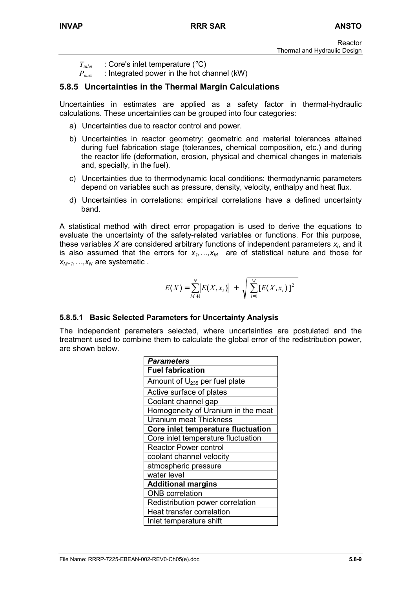- *T<sub>inlet</sub>* : Core's inlet temperature (°C)
- *P<sub>max</sub>* : Integrated power in the hot channel (kW)

# **5.8.5 Uncertainties in the Thermal Margin Calculations**

Uncertainties in estimates are applied as a safety factor in thermal-hydraulic calculations. These uncertainties can be grouped into four categories:

- a) Uncertainties due to reactor control and power.
- b) Uncertainties in reactor geometry: geometric and material tolerances attained during fuel fabrication stage (tolerances, chemical composition, etc.) and during the reactor life (deformation, erosion, physical and chemical changes in materials and, specially, in the fuel).
- c) Uncertainties due to thermodynamic local conditions: thermodynamic parameters depend on variables such as pressure, density, velocity, enthalpy and heat flux.
- d) Uncertainties in correlations: empirical correlations have a defined uncertainty band.

A statistical method with direct error propagation is used to derive the equations to evaluate the uncertainty of the safety-related variables or functions. For this purpose, these variables *X* are considered arbitrary functions of independent parameters *xi*, and it is also assumed that the errors for  $x_1,...,x_M$  are of statistical nature and those for  $x_{M+1},...,x_N$  are systematic.

$$
E(X) = \sum_{M+1}^{N} |E(X, x_i)| + \sqrt{\sum_{i=1}^{M} [E(X, x_i)]^2}
$$

#### **5.8.5.1 Basic Selected Parameters for Uncertainty Analysis**

The independent parameters selected, where uncertainties are postulated and the treatment used to combine them to calculate the global error of the redistribution power, are shown below.

| <b>Parameters</b>                  |
|------------------------------------|
| <b>Fuel fabrication</b>            |
| Amount of $U_{235}$ per fuel plate |
| Active surface of plates           |
| Coolant channel gap                |
| Homogeneity of Uranium in the meat |
| <b>Uranium meat Thickness</b>      |
| Core inlet temperature fluctuation |
| Core inlet temperature fluctuation |
| <b>Reactor Power control</b>       |
| coolant channel velocity           |
| atmospheric pressure               |
| water level                        |
| <b>Additional margins</b>          |
| <b>ONB</b> correlation             |
| Redistribution power correlation   |
| Heat transfer correlation          |
| Inlet temperature shift            |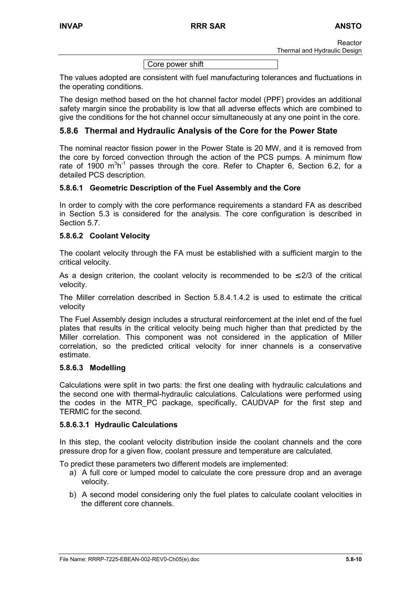Core power shift

The values adopted are consistent with fuel manufacturing tolerances and fluctuations in the operating conditions.

The design method based on the hot channel factor model (PPF) provides an additional safety margin since the probability is low that all adverse effects which are combined to give the conditions for the hot channel occur simultaneously at any one point in the core.

# **5.8.6 Thermal and Hydraulic Analysis of the Core for the Power State**

The nominal reactor fission power in the Power State is 20 MW, and it is removed from the core by forced convection through the action of the PCS pumps. A minimum flow rate of 1900  $m^3h^{-1}$  passes through the core. Refer to Chapter 6, Section 6.2, for a detailed PCS description.

## **5.8.6.1 Geometric Description of the Fuel Assembly and the Core**

In order to comply with the core performance requirements a standard FA as described in Section 5.3 is considered for the analysis. The core configuration is described in Section 5.7.

#### **5.8.6.2 Coolant Velocity**

The coolant velocity through the FA must be established with a sufficient margin to the critical velocity.

As a design criterion, the coolant velocity is recommended to be  $\leq$  2/3 of the critical velocity.

The Miller correlation described in Section 5.8.4.1.4.2 is used to estimate the critical velocity

The Fuel Assembly design includes a structural reinforcement at the inlet end of the fuel plates that results in the critical velocity being much higher than that predicted by the Miller correlation. This component was not considered in the application of Miller correlation, so the predicted critical velocity for inner channels is a conservative estimate.

## **5.8.6.3 Modelling**

Calculations were split in two parts: the first one dealing with hydraulic calculations and the second one with thermal-hydraulic calculations. Calculations were performed using the codes in the MTR PC package, specifically, CAUDVAP for the first step and TERMIC for the second.

#### **5.8.6.3.1 Hydraulic Calculations**

In this step, the coolant velocity distribution inside the coolant channels and the core pressure drop for a given flow, coolant pressure and temperature are calculated.

To predict these parameters two different models are implemented:

- a) A full core or lumped model to calculate the core pressure drop and an average velocity.
- b) A second model considering only the fuel plates to calculate coolant velocities in the different core channels.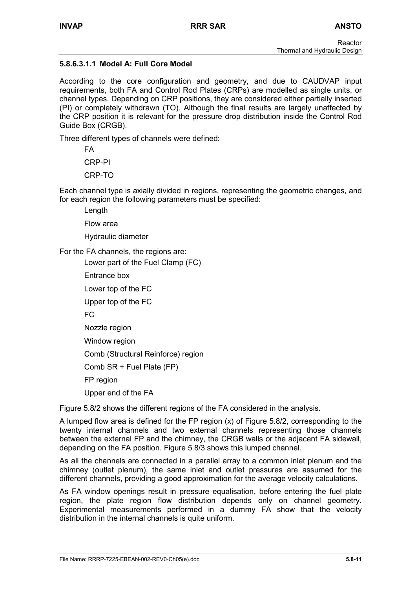## **5.8.6.3.1.1 Model A: Full Core Model**

According to the core configuration and geometry, and due to CAUDVAP input requirements, both FA and Control Rod Plates (CRPs) are modelled as single units, or channel types. Depending on CRP positions, they are considered either partially inserted (PI) or completely withdrawn (TO). Although the final results are largely unaffected by the CRP position it is relevant for the pressure drop distribution inside the Control Rod Guide Box (CRGB).

Three different types of channels were defined:

FA

CRP-PI

CRP-TO

Each channel type is axially divided in regions, representing the geometric changes, and for each region the following parameters must be specified:

Length

Flow area

Hydraulic diameter

For the FA channels, the regions are:

Lower part of the Fuel Clamp (FC)

Entrance box

Lower top of the FC

Upper top of the FC

FC

Nozzle region

Window region

Comb (Structural Reinforce) region

Comb SR + Fuel Plate (FP)

FP region

Upper end of the FA

Figure 5.8/2 shows the different regions of the FA considered in the analysis.

A lumped flow area is defined for the FP region (x) of Figure 5.8/2, corresponding to the twenty internal channels and two external channels representing those channels between the external FP and the chimney, the CRGB walls or the adjacent FA sidewall, depending on the FA position. Figure 5.8/3 shows this lumped channel.

As all the channels are connected in a parallel array to a common inlet plenum and the chimney (outlet plenum), the same inlet and outlet pressures are assumed for the different channels, providing a good approximation for the average velocity calculations.

As FA window openings result in pressure equalisation, before entering the fuel plate region, the plate region flow distribution depends only on channel geometry. Experimental measurements performed in a dummy FA show that the velocity distribution in the internal channels is quite uniform.

File Name: RRRP-7225-EBEAN-002-REV0-Ch05(e).doc **5.8-11**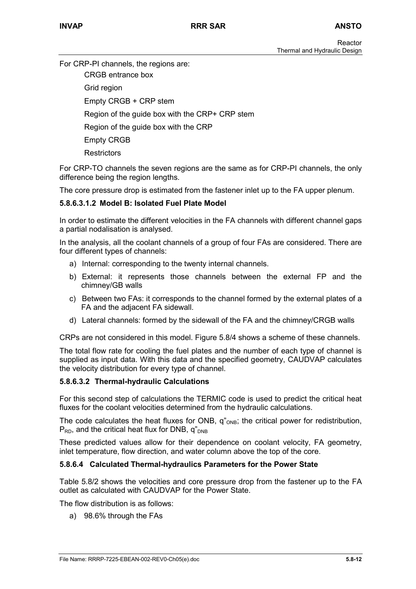For CRP-PI channels, the regions are:

CRGB entrance box

Grid region

Empty CRGB + CRP stem

Region of the guide box with the CRP+ CRP stem

Region of the guide box with the CRP

Empty CRGB

**Restrictors** 

For CRP-TO channels the seven regions are the same as for CRP-PI channels, the only difference being the region lengths.

The core pressure drop is estimated from the fastener inlet up to the FA upper plenum.

# **5.8.6.3.1.2 Model B: Isolated Fuel Plate Model**

In order to estimate the different velocities in the FA channels with different channel gaps a partial nodalisation is analysed.

In the analysis, all the coolant channels of a group of four FAs are considered. There are four different types of channels:

- a) Internal: corresponding to the twenty internal channels.
- b) External: it represents those channels between the external FP and the chimney/GB walls
- c) Between two FAs: it corresponds to the channel formed by the external plates of a FA and the adjacent FA sidewall.
- d) Lateral channels: formed by the sidewall of the FA and the chimney/CRGB walls

CRPs are not considered in this model. Figure 5.8/4 shows a scheme of these channels.

The total flow rate for cooling the fuel plates and the number of each type of channel is supplied as input data. With this data and the specified geometry, CAUDVAP calculates the velocity distribution for every type of channel.

#### **5.8.6.3.2 Thermal-hydraulic Calculations**

For this second step of calculations the TERMIC code is used to predict the critical heat fluxes for the coolant velocities determined from the hydraulic calculations.

The code calculates the heat fluxes for ONB,  $q''_{ONB}$ ; the critical power for redistribution,  $P_{RD}$ , and the critical heat flux for DNB,  $q_{DB}$ 

These predicted values allow for their dependence on coolant velocity, FA geometry, inlet temperature, flow direction, and water column above the top of the core.

#### **5.8.6.4 Calculated Thermal-hydraulics Parameters for the Power State**

Table 5.8/2 shows the velocities and core pressure drop from the fastener up to the FA outlet as calculated with CAUDVAP for the Power State.

The flow distribution is as follows:

a) 98.6% through the FAs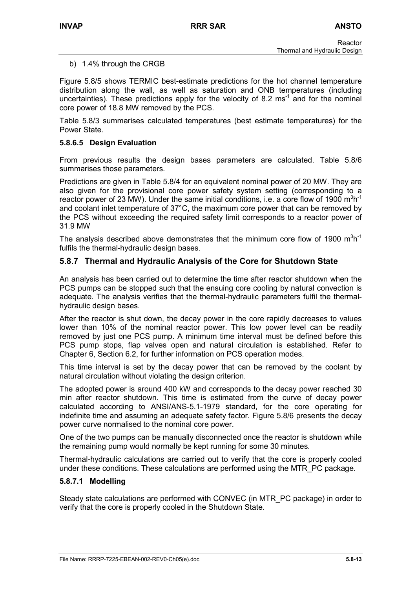#### b) 1.4% through the CRGB

Figure 5.8/5 shows TERMIC best-estimate predictions for the hot channel temperature distribution along the wall, as well as saturation and ONB temperatures (including uncertainties). These predictions apply for the velocity of 8.2 ms<sup>-1</sup> and for the nominal core power of 18.8 MW removed by the PCS.

Table 5.8/3 summarises calculated temperatures (best estimate temperatures) for the Power State.

#### **5.8.6.5 Design Evaluation**

From previous results the design bases parameters are calculated. Table 5.8/6 summarises those parameters.

Predictions are given in Table 5.8/4 for an equivalent nominal power of 20 MW. They are also given for the provisional core power safety system setting (corresponding to a reactor power of 23 MW). Under the same initial conditions, i.e. a core flow of 1900  $\text{m}^3\text{h}^{\text{-}1}$ and coolant inlet temperature of 37°C, the maximum core power that can be removed by the PCS without exceeding the required safety limit corresponds to a reactor power of 31.9 MW

The analysis described above demonstrates that the minimum core flow of 1900  $m^3h^{-1}$ fulfils the thermal-hydraulic design bases.

# **5.8.7 Thermal and Hydraulic Analysis of the Core for Shutdown State**

An analysis has been carried out to determine the time after reactor shutdown when the PCS pumps can be stopped such that the ensuing core cooling by natural convection is adequate. The analysis verifies that the thermal-hydraulic parameters fulfil the thermalhydraulic design bases.

After the reactor is shut down, the decay power in the core rapidly decreases to values lower than 10% of the nominal reactor power. This low power level can be readily removed by just one PCS pump. A minimum time interval must be defined before this PCS pump stops, flap valves open and natural circulation is established. Refer to Chapter 6, Section 6.2, for further information on PCS operation modes.

This time interval is set by the decay power that can be removed by the coolant by natural circulation without violating the design criterion.

The adopted power is around 400 kW and corresponds to the decay power reached 30 min after reactor shutdown. This time is estimated from the curve of decay power calculated according to ANSI/ANS-5.1-1979 standard, for the core operating for indefinite time and assuming an adequate safety factor. Figure 5.8/6 presents the decay power curve normalised to the nominal core power.

One of the two pumps can be manually disconnected once the reactor is shutdown while the remaining pump would normally be kept running for some 30 minutes.

Thermal-hydraulic calculations are carried out to verify that the core is properly cooled under these conditions. These calculations are performed using the MTR\_PC package.

#### **5.8.7.1 Modelling**

Steady state calculations are performed with CONVEC (in MTR\_PC package) in order to verify that the core is properly cooled in the Shutdown State.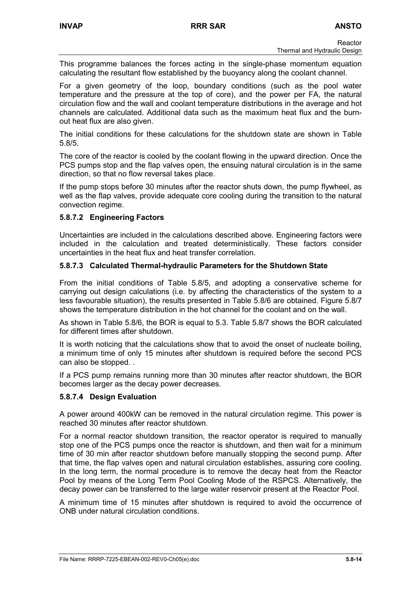This programme balances the forces acting in the single-phase momentum equation calculating the resultant flow established by the buoyancy along the coolant channel.

For a given geometry of the loop, boundary conditions (such as the pool water temperature and the pressure at the top of core), and the power per FA, the natural circulation flow and the wall and coolant temperature distributions in the average and hot channels are calculated. Additional data such as the maximum heat flux and the burnout heat flux are also given.

The initial conditions for these calculations for the shutdown state are shown in Table 5.8/5.

The core of the reactor is cooled by the coolant flowing in the upward direction. Once the PCS pumps stop and the flap valves open, the ensuing natural circulation is in the same direction, so that no flow reversal takes place.

If the pump stops before 30 minutes after the reactor shuts down, the pump flywheel, as well as the flap valves, provide adequate core cooling during the transition to the natural convection regime.

## **5.8.7.2 Engineering Factors**

Uncertainties are included in the calculations described above. Engineering factors were included in the calculation and treated deterministically. These factors consider uncertainties in the heat flux and heat transfer correlation.

## **5.8.7.3 Calculated Thermal-hydraulic Parameters for the Shutdown State**

From the initial conditions of Table 5.8/5, and adopting a conservative scheme for carrying out design calculations (i.e. by affecting the characteristics of the system to a less favourable situation), the results presented in Table 5.8/6 are obtained. Figure 5.8/7 shows the temperature distribution in the hot channel for the coolant and on the wall.

As shown in Table 5.8/6, the BOR is equal to 5.3. Table 5.8/7 shows the BOR calculated for different times after shutdown.

It is worth noticing that the calculations show that to avoid the onset of nucleate boiling, a minimum time of only 15 minutes after shutdown is required before the second PCS can also be stopped. .

If a PCS pump remains running more than 30 minutes after reactor shutdown, the BOR becomes larger as the decay power decreases.

#### **5.8.7.4 Design Evaluation**

A power around 400kW can be removed in the natural circulation regime. This power is reached 30 minutes after reactor shutdown.

For a normal reactor shutdown transition, the reactor operator is required to manually stop one of the PCS pumps once the reactor is shutdown, and then wait for a minimum time of 30 min after reactor shutdown before manually stopping the second pump. After that time, the flap valves open and natural circulation establishes, assuring core cooling. In the long term, the normal procedure is to remove the decay heat from the Reactor Pool by means of the Long Term Pool Cooling Mode of the RSPCS. Alternatively, the decay power can be transferred to the large water reservoir present at the Reactor Pool.

A minimum time of 15 minutes after shutdown is required to avoid the occurrence of ONB under natural circulation conditions.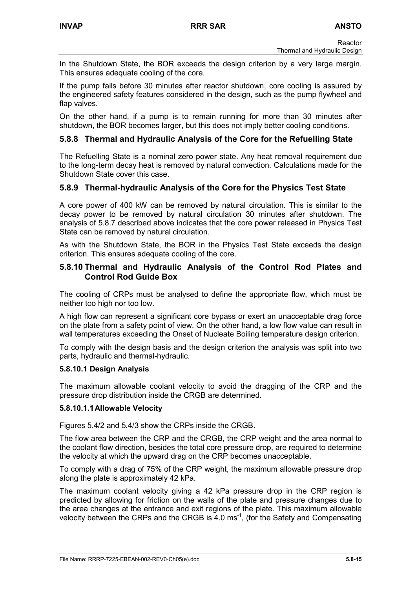In the Shutdown State, the BOR exceeds the design criterion by a very large margin. This ensures adequate cooling of the core.

If the pump fails before 30 minutes after reactor shutdown, core cooling is assured by the engineered safety features considered in the design, such as the pump flywheel and flap valves.

On the other hand, if a pump is to remain running for more than 30 minutes after shutdown, the BOR becomes larger, but this does not imply better cooling conditions.

# **5.8.8 Thermal and Hydraulic Analysis of the Core for the Refuelling State**

The Refuelling State is a nominal zero power state. Any heat removal requirement due to the long-term decay heat is removed by natural convection. Calculations made for the Shutdown State cover this case.

# **5.8.9 Thermal-hydraulic Analysis of the Core for the Physics Test State**

A core power of 400 kW can be removed by natural circulation. This is similar to the decay power to be removed by natural circulation 30 minutes after shutdown. The analysis of 5.8.7 described above indicates that the core power released in Physics Test State can be removed by natural circulation.

As with the Shutdown State, the BOR in the Physics Test State exceeds the design criterion. This ensures adequate cooling of the core.

### **5.8.10 Thermal and Hydraulic Analysis of the Control Rod Plates and Control Rod Guide Box**

The cooling of CRPs must be analysed to define the appropriate flow, which must be neither too high nor too low.

A high flow can represent a significant core bypass or exert an unacceptable drag force on the plate from a safety point of view. On the other hand, a low flow value can result in wall temperatures exceeding the Onset of Nucleate Boiling temperature design criterion.

To comply with the design basis and the design criterion the analysis was split into two parts, hydraulic and thermal-hydraulic.

#### **5.8.10.1 Design Analysis**

The maximum allowable coolant velocity to avoid the dragging of the CRP and the pressure drop distribution inside the CRGB are determined.

#### **5.8.10.1.1 Allowable Velocity**

Figures 5.4/2 and 5.4/3 show the CRPs inside the CRGB.

The flow area between the CRP and the CRGB, the CRP weight and the area normal to the coolant flow direction, besides the total core pressure drop, are required to determine the velocity at which the upward drag on the CRP becomes unacceptable.

To comply with a drag of 75% of the CRP weight, the maximum allowable pressure drop along the plate is approximately 42 kPa.

The maximum coolant velocity giving a 42 kPa pressure drop in the CRP region is predicted by allowing for friction on the walls of the plate and pressure changes due to the area changes at the entrance and exit regions of the plate. This maximum allowable velocity between the CRPs and the CRGB is 4.0 ms-1, (for the Safety and Compensating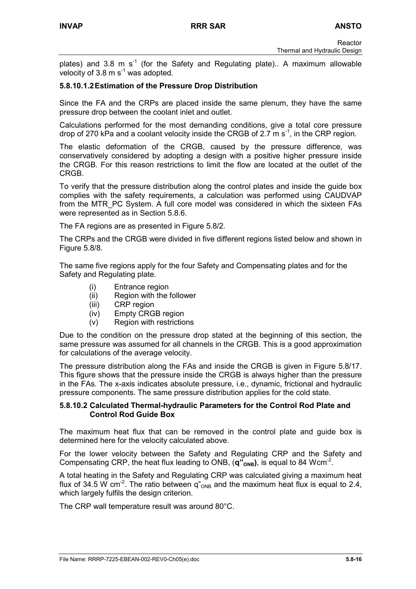plates) and 3.8 m  $s^{-1}$  (for the Safety and Regulating plate).. A maximum allowable velocity of  $3.8 \text{ m s}^{-1}$  was adopted.

## **5.8.10.1.2 Estimation of the Pressure Drop Distribution**

Since the FA and the CRPs are placed inside the same plenum, they have the same pressure drop between the coolant inlet and outlet.

Calculations performed for the most demanding conditions, give a total core pressure drop of 270 kPa and a coolant velocity inside the CRGB of 2.7 m  $s<sup>-1</sup>$ , in the CRP region.

The elastic deformation of the CRGB, caused by the pressure difference, was conservatively considered by adopting a design with a positive higher pressure inside the CRGB. For this reason restrictions to limit the flow are located at the outlet of the CRGB.

To verify that the pressure distribution along the control plates and inside the guide box complies with the safety requirements, a calculation was performed using CAUDVAP from the MTR\_PC System. A full core model was considered in which the sixteen FAs were represented as in Section 5.8.6.

The FA regions are as presented in Figure 5.8/2.

The CRPs and the CRGB were divided in five different regions listed below and shown in Figure 5.8/8.

The same five regions apply for the four Safety and Compensating plates and for the Safety and Regulating plate.

- (i) Entrance region
- (ii) Region with the follower
- (iii) CRP region
- (iv) Empty CRGB region
- (v) Region with restrictions

Due to the condition on the pressure drop stated at the beginning of this section, the same pressure was assumed for all channels in the CRGB. This is a good approximation for calculations of the average velocity.

The pressure distribution along the FAs and inside the CRGB is given in Figure 5.8/17. This figure shows that the pressure inside the CRGB is always higher than the pressure in the FAs. The x-axis indicates absolute pressure, i.e., dynamic, frictional and hydraulic pressure components. The same pressure distribution applies for the cold state.

#### **5.8.10.2 Calculated Thermal-hydraulic Parameters for the Control Rod Plate and Control Rod Guide Box**

The maximum heat flux that can be removed in the control plate and guide box is determined here for the velocity calculated above.

For the lower velocity between the Safety and Regulating CRP and the Safety and Compensating CRP, the heat flux leading to ONB,  $(q''_{oNB})$ , is equal to 84 Wcm<sup>-2</sup>.

A total heating in the Safety and Regulating CRP was calculated giving a maximum heat flux of 34.5 W cm<sup>-2</sup>. The ratio between  $q''_{\text{ONB}}$  and the maximum heat flux is equal to 2.4, which largely fulfils the design criterion.

The CRP wall temperature result was around 80°C.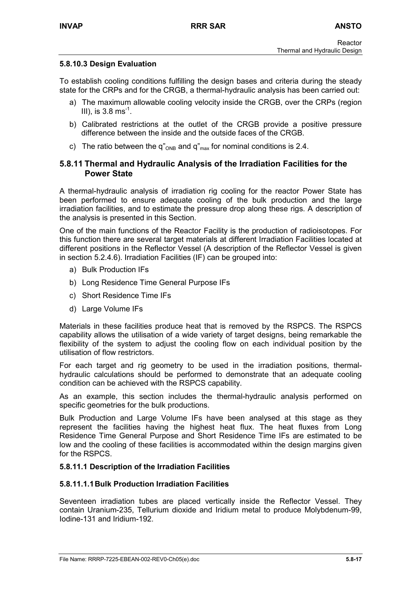### **5.8.10.3 Design Evaluation**

To establish cooling conditions fulfilling the design bases and criteria during the steady state for the CRPs and for the CRGB, a thermal-hydraulic analysis has been carried out:

- a) The maximum allowable cooling velocity inside the CRGB, over the CRPs (region III), is  $3.8 \text{ ms}^{-1}$ .
- b) Calibrated restrictions at the outlet of the CRGB provide a positive pressure difference between the inside and the outside faces of the CRGB.
- c) The ratio between the q" $_{\text{ONB}}$  and q" $_{\text{max}}$  for nominal conditions is 2.4.

## **5.8.11 Thermal and Hydraulic Analysis of the Irradiation Facilities for the Power State**

A thermal-hydraulic analysis of irradiation rig cooling for the reactor Power State has been performed to ensure adequate cooling of the bulk production and the large irradiation facilities, and to estimate the pressure drop along these rigs. A description of the analysis is presented in this Section.

One of the main functions of the Reactor Facility is the production of radioisotopes. For this function there are several target materials at different Irradiation Facilities located at different positions in the Reflector Vessel (A description of the Reflector Vessel is given in section 5.2.4.6). Irradiation Facilities (IF) can be grouped into:

- a) Bulk Production IFs
- b) Long Residence Time General Purpose IFs
- c) Short Residence Time IFs
- d) Large Volume IFs

Materials in these facilities produce heat that is removed by the RSPCS. The RSPCS capability allows the utilisation of a wide variety of target designs, being remarkable the flexibility of the system to adjust the cooling flow on each individual position by the utilisation of flow restrictors.

For each target and rig geometry to be used in the irradiation positions, thermalhydraulic calculations should be performed to demonstrate that an adequate cooling condition can be achieved with the RSPCS capability.

As an example, this section includes the thermal-hydraulic analysis performed on specific geometries for the bulk productions.

Bulk Production and Large Volume IFs have been analysed at this stage as they represent the facilities having the highest heat flux. The heat fluxes from Long Residence Time General Purpose and Short Residence Time IFs are estimated to be low and the cooling of these facilities is accommodated within the design margins given for the RSPCS.

#### **5.8.11.1 Description of the Irradiation Facilities**

#### **5.8.11.1.1 Bulk Production Irradiation Facilities**

Seventeen irradiation tubes are placed vertically inside the Reflector Vessel. They contain Uranium-235, Tellurium dioxide and Iridium metal to produce Molybdenum-99, Iodine-131 and Iridium-192.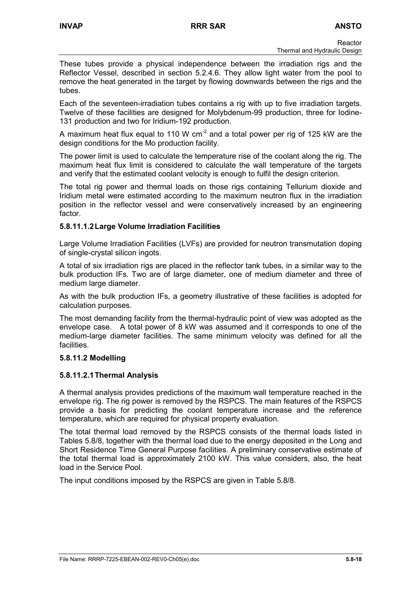These tubes provide a physical independence between the irradiation rigs and the Reflector Vessel, described in section 5.2.4.6. They allow light water from the pool to remove the heat generated in the target by flowing downwards between the rigs and the tubes.

Each of the seventeen-irradiation tubes contains a rig with up to five irradiation targets. Twelve of these facilities are designed for Molybdenum-99 production, three for Iodine-131 production and two for Iridium-192 production.

A maximum heat flux equal to 110 W  $cm<sup>-2</sup>$  and a total power per rig of 125 kW are the design conditions for the Mo production facility.

The power limit is used to calculate the temperature rise of the coolant along the rig. The maximum heat flux limit is considered to calculate the wall temperature of the targets and verify that the estimated coolant velocity is enough to fulfil the design criterion.

The total rig power and thermal loads on those rigs containing Tellurium dioxide and Iridium metal were estimated according to the maximum neutron flux in the irradiation position in the reflector vessel and were conservatively increased by an engineering factor.

# **5.8.11.1.2 Large Volume Irradiation Facilities**

Large Volume Irradiation Facilities (LVFs) are provided for neutron transmutation doping of single-crystal silicon ingots.

A total of six irradiation rigs are placed in the reflector tank tubes, in a similar way to the bulk production IFs. Two are of large diameter, one of medium diameter and three of medium large diameter.

As with the bulk production IFs, a geometry illustrative of these facilities is adopted for calculation purposes.

The most demanding facility from the thermal-hydraulic point of view was adopted as the envelope case. A total power of 8 kW was assumed and it corresponds to one of the medium-large diameter facilities. The same minimum velocity was defined for all the facilities.

# **5.8.11.2 Modelling**

# **5.8.11.2.1 Thermal Analysis**

A thermal analysis provides predictions of the maximum wall temperature reached in the envelope rig. The rig power is removed by the RSPCS. The main features of the RSPCS provide a basis for predicting the coolant temperature increase and the reference temperature, which are required for physical property evaluation.

The total thermal load removed by the RSPCS consists of the thermal loads listed in Tables 5.8/8, together with the thermal load due to the energy deposited in the Long and Short Residence Time General Purpose facilities. A preliminary conservative estimate of the total thermal load is approximately 2100 kW. This value considers, also, the heat load in the Service Pool.

The input conditions imposed by the RSPCS are given in Table 5.8/8.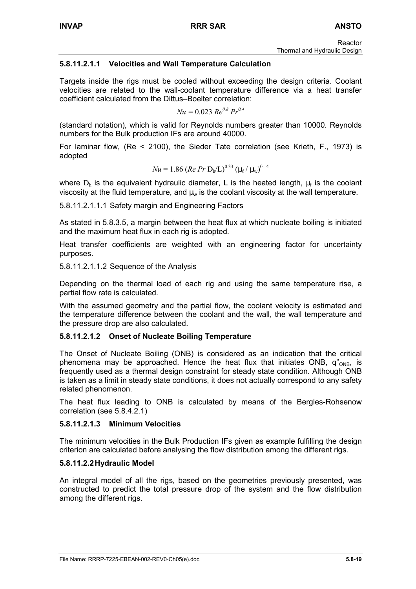# **5.8.11.2.1.1 Velocities and Wall Temperature Calculation**

Targets inside the rigs must be cooled without exceeding the design criteria. Coolant velocities are related to the wall-coolant temperature difference via a heat transfer coefficient calculated from the Dittus–Boelter correlation:

$$
Nu = 0.023 \, Re^{0.8} \, Pr^{0.4}
$$

(standard notation), which is valid for Reynolds numbers greater than 10000. Reynolds numbers for the Bulk production IFs are around 40000.

For laminar flow, (Re < 2100), the Sieder Tate correlation (see Krieth, F., 1973) is adopted

$$
Nu = 1.86 (Re Pr Dh/L)^{0.33} (\mu_f / \mu_w)^{0.14}
$$

where  $D_h$  is the equivalent hydraulic diameter, L is the heated length,  $\mu_f$  is the coolant viscosity at the fluid temperature, and  $\mu_w$  is the coolant viscosity at the wall temperature.

5.8.11.2.1.1.1 Safety margin and Engineering Factors

As stated in 5.8.3.5, a margin between the heat flux at which nucleate boiling is initiated and the maximum heat flux in each rig is adopted.

Heat transfer coefficients are weighted with an engineering factor for uncertainty purposes.

5.8.11.2.1.1.2 Sequence of the Analysis

Depending on the thermal load of each rig and using the same temperature rise, a partial flow rate is calculated.

With the assumed geometry and the partial flow, the coolant velocity is estimated and the temperature difference between the coolant and the wall, the wall temperature and the pressure drop are also calculated.

#### **5.8.11.2.1.2 Onset of Nucleate Boiling Temperature**

The Onset of Nucleate Boiling (ONB) is considered as an indication that the critical phenomena may be approached. Hence the heat flux that initiates ONB,  $q_{\text{ONB}}$ , is frequently used as a thermal design constraint for steady state condition. Although ONB is taken as a limit in steady state conditions, it does not actually correspond to any safety related phenomenon.

The heat flux leading to ONB is calculated by means of the Bergles-Rohsenow correlation (see 5.8.4.2.1)

#### **5.8.11.2.1.3 Minimum Velocities**

The minimum velocities in the Bulk Production IFs given as example fulfilling the design criterion are calculated before analysing the flow distribution among the different rigs.

#### **5.8.11.2.2 Hydraulic Model**

An integral model of all the rigs, based on the geometries previously presented, was constructed to predict the total pressure drop of the system and the flow distribution among the different rigs.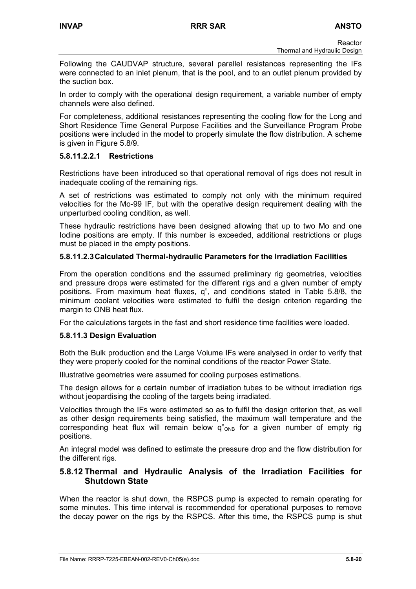Following the CAUDVAP structure, several parallel resistances representing the IFs were connected to an inlet plenum, that is the pool, and to an outlet plenum provided by the suction box.

In order to comply with the operational design requirement, a variable number of empty channels were also defined.

For completeness, additional resistances representing the cooling flow for the Long and Short Residence Time General Purpose Facilities and the Surveillance Program Probe positions were included in the model to properly simulate the flow distribution. A scheme is given in Figure 5.8/9.

## **5.8.11.2.2.1 Restrictions**

Restrictions have been introduced so that operational removal of rigs does not result in inadequate cooling of the remaining rigs.

A set of restrictions was estimated to comply not only with the minimum required velocities for the Mo-99 IF, but with the operative design requirement dealing with the unperturbed cooling condition, as well.

These hydraulic restrictions have been designed allowing that up to two Mo and one Iodine positions are empty. If this number is exceeded, additional restrictions or plugs must be placed in the empty positions.

# **5.8.11.2.3 Calculated Thermal-hydraulic Parameters for the Irradiation Facilities**

From the operation conditions and the assumed preliminary rig geometries, velocities and pressure drops were estimated for the different rigs and a given number of empty positions. From maximum heat fluxes, q", and conditions stated in Table 5.8/8, the minimum coolant velocities were estimated to fulfil the design criterion regarding the margin to ONB heat flux.

For the calculations targets in the fast and short residence time facilities were loaded.

#### **5.8.11.3 Design Evaluation**

Both the Bulk production and the Large Volume IFs were analysed in order to verify that they were properly cooled for the nominal conditions of the reactor Power State.

Illustrative geometries were assumed for cooling purposes estimations.

The design allows for a certain number of irradiation tubes to be without irradiation rigs without jeopardising the cooling of the targets being irradiated.

Velocities through the IFs were estimated so as to fulfil the design criterion that, as well as other design requirements being satisfied, the maximum wall temperature and the corresponding heat flux will remain below  $q_{\text{OMB}}^*$  for a given number of empty rig positions.

An integral model was defined to estimate the pressure drop and the flow distribution for the different rigs.

# **5.8.12 Thermal and Hydraulic Analysis of the Irradiation Facilities for Shutdown State**

When the reactor is shut down, the RSPCS pump is expected to remain operating for some minutes. This time interval is recommended for operational purposes to remove the decay power on the rigs by the RSPCS. After this time, the RSPCS pump is shut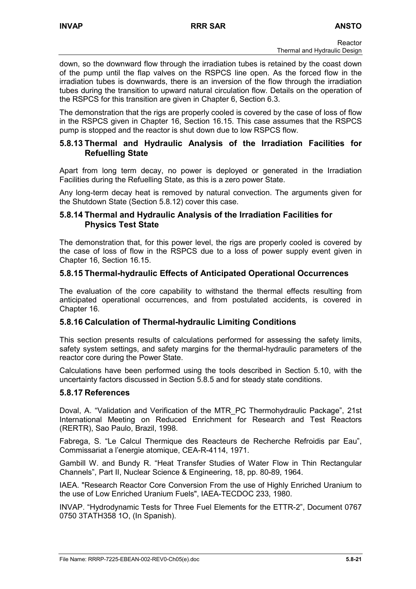down, so the downward flow through the irradiation tubes is retained by the coast down of the pump until the flap valves on the RSPCS line open. As the forced flow in the irradiation tubes is downwards, there is an inversion of the flow through the irradiation tubes during the transition to upward natural circulation flow. Details on the operation of the RSPCS for this transition are given in Chapter 6, Section 6.3.

The demonstration that the rigs are properly cooled is covered by the case of loss of flow in the RSPCS given in Chapter 16, Section 16.15. This case assumes that the RSPCS pump is stopped and the reactor is shut down due to low RSPCS flow.

## **5.8.13 Thermal and Hydraulic Analysis of the Irradiation Facilities for Refuelling State**

Apart from long term decay, no power is deployed or generated in the Irradiation Facilities during the Refuelling State, as this is a zero power State.

Any long-term decay heat is removed by natural convection. The arguments given for the Shutdown State (Section 5.8.12) cover this case.

# **5.8.14 Thermal and Hydraulic Analysis of the Irradiation Facilities for Physics Test State**

The demonstration that, for this power level, the rigs are properly cooled is covered by the case of loss of flow in the RSPCS due to a loss of power supply event given in Chapter 16, Section 16.15.

# **5.8.15 Thermal-hydraulic Effects of Anticipated Operational Occurrences**

The evaluation of the core capability to withstand the thermal effects resulting from anticipated operational occurrences, and from postulated accidents, is covered in Chapter 16.

# **5.8.16 Calculation of Thermal-hydraulic Limiting Conditions**

This section presents results of calculations performed for assessing the safety limits, safety system settings, and safety margins for the thermal-hydraulic parameters of the reactor core during the Power State.

Calculations have been performed using the tools described in Section 5.10, with the uncertainty factors discussed in Section 5.8.5 and for steady state conditions.

# **5.8.17 References**

Doval, A. "Validation and Verification of the MTR\_PC Thermohydraulic Package", 21st International Meeting on Reduced Enrichment for Research and Test Reactors (RERTR), Sao Paulo, Brazil, 1998.

Fabrega, S. "Le Calcul Thermique des Reacteurs de Recherche Refroidis par Eau", Commissariat a l'energie atomique, CEA-R-4114, 1971.

Gambill W. and Bundy R. "Heat Transfer Studies of Water Flow in Thin Rectangular Channels", Part II, Nuclear Science & Engineering, 18, pp. 80-89, 1964.

IAEA. "Research Reactor Core Conversion From the use of Highly Enriched Uranium to the use of Low Enriched Uranium Fuels", IAEA-TECDOC 233, 1980.

INVAP. "Hydrodynamic Tests for Three Fuel Elements for the ETTR-2", Document 0767 0750 3TATH358 1O, (In Spanish).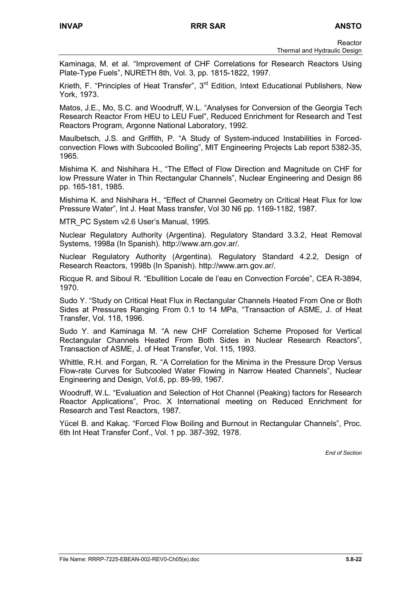Kaminaga, M. et al. "Improvement of CHF Correlations for Research Reactors Using Plate-Type Fuels", NURETH 8th, Vol. 3, pp. 1815-1822, 1997.

Krieth, F. "Principles of Heat Transfer", 3<sup>rd</sup> Edition, Intext Educational Publishers, New York, 1973.

Matos, J.E., Mo, S.C. and Woodruff, W.L. "Analyses for Conversion of the Georgia Tech Research Reactor From HEU to LEU Fuel", Reduced Enrichment for Research and Test Reactors Program, Argonne National Laboratory, 1992.

Maulbetsch, J.S. and Griffith, P. "A Study of System-induced Instabilities in Forcedconvection Flows with Subcooled Boiling", MIT Engineering Projects Lab report 5382-35, 1965.

Mishima K. and Nishihara H., "The Effect of Flow Direction and Magnitude on CHF for low Pressure Water in Thin Rectangular Channels", Nuclear Engineering and Design 86 pp. 165-181, 1985.

Mishima K. and Nishihara H., "Effect of Channel Geometry on Critical Heat Flux for low Pressure Water", Int J. Heat Mass transfer, Vol 30 N6 pp. 1169-1182, 1987.

MTR\_PC System v2.6 User's Manual, 1995.

Nuclear Regulatory Authority (Argentina). Regulatory Standard 3.3.2, Heat Removal Systems, 1998a (In Spanish). http://www.arn.gov.ar/.

Nuclear Regulatory Authority (Argentina). Regulatory Standard 4.2.2, Design of Research Reactors, 1998b (In Spanish). http://www.arn.gov.ar/.

Ricque R. and Siboul R. "Ebullition Locale de l'eau en Convection Forcée", CEA R-3894, 1970.

Sudo Y. "Study on Critical Heat Flux in Rectangular Channels Heated From One or Both Sides at Pressures Ranging From 0.1 to 14 MPa, "Transaction of ASME, J. of Heat Transfer, Vol. 118, 1996.

Sudo Y. and Kaminaga M. "A new CHF Correlation Scheme Proposed for Vertical Rectangular Channels Heated From Both Sides in Nuclear Research Reactors", Transaction of ASME, J. of Heat Transfer, Vol. 115, 1993.

Whittle, R.H. and Forgan, R. "A Correlation for the Minima in the Pressure Drop Versus Flow-rate Curves for Subcooled Water Flowing in Narrow Heated Channels", Nuclear Engineering and Design, Vol.6, pp. 89-99, 1967.

Woodruff, W.L. "Evaluation and Selection of Hot Channel (Peaking) factors for Research Reactor Applications", Proc. X International meeting on Reduced Enrichment for Research and Test Reactors, 1987.

Yücel B. and Kakaç. "Forced Flow Boiling and Burnout in Rectangular Channels", Proc. 6th Int Heat Transfer Conf., Vol. 1 pp. 387-392, 1978.

*End of Section*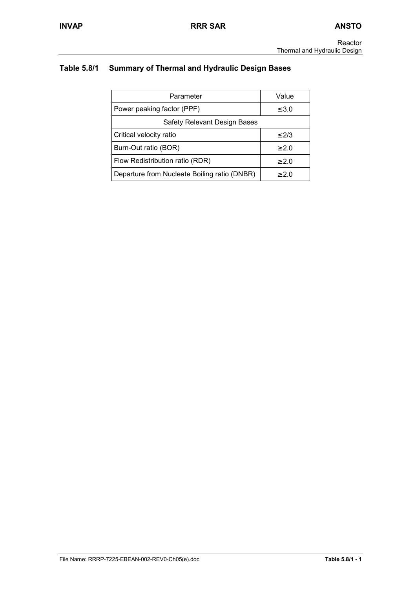# **Table 5.8/1 Summary of Thermal and Hydraulic Design Bases**

| Parameter                                    | Value      |
|----------------------------------------------|------------|
| Power peaking factor (PPF)                   | $\leq 3.0$ |
| Safety Relevant Design Bases                 |            |
| Critical velocity ratio                      | $\leq$ 2/3 |
| Burn-Out ratio (BOR)                         | > 2.0      |
| Flow Redistribution ratio (RDR)              | $\geq 2.0$ |
| Departure from Nucleate Boiling ratio (DNBR) | > 2.0      |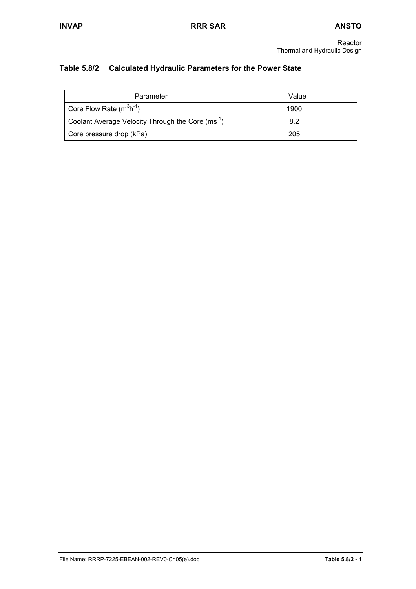# **Table 5.8/2 Calculated Hydraulic Parameters for the Power State**

| Parameter                                                     | Value |
|---------------------------------------------------------------|-------|
| Core Flow Rate $(m^3h^{-1})$                                  | 1900  |
| Coolant Average Velocity Through the Core (ms <sup>-1</sup> ) | 8.2   |
| Core pressure drop (kPa)                                      | 205   |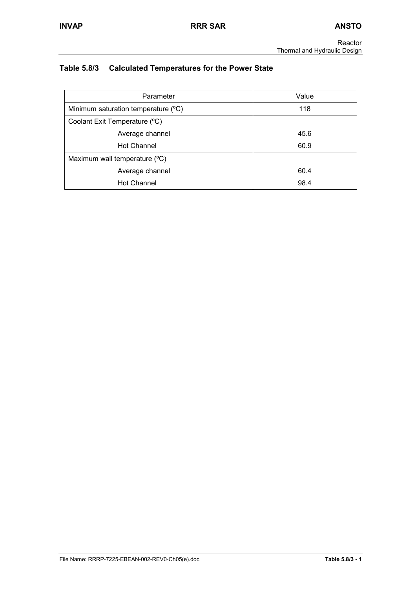# **Table 5.8/3 Calculated Temperatures for the Power State**

| Parameter                           | Value |
|-------------------------------------|-------|
| Minimum saturation temperature (°C) | 118   |
| Coolant Exit Temperature (°C)       |       |
| Average channel                     | 45.6  |
| <b>Hot Channel</b>                  | 60.9  |
| Maximum wall temperature (°C)       |       |
| Average channel                     | 60.4  |
| <b>Hot Channel</b>                  | 98.4  |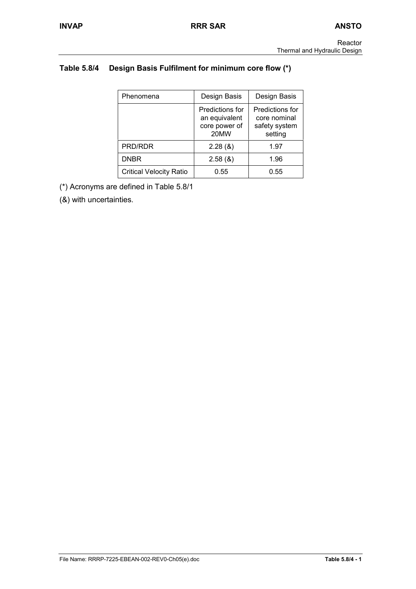# **Table 5.8/4 Design Basis Fulfilment for minimum core flow (\*)**

| Phenomena                      | Design Basis                                              | Design Basis                                                |
|--------------------------------|-----------------------------------------------------------|-------------------------------------------------------------|
|                                | Predictions for<br>an equivalent<br>core power of<br>20MW | Predictions for<br>core nominal<br>safety system<br>setting |
| PRD/RDR                        | 2.28(8)                                                   | 1.97                                                        |
| <b>DNBR</b>                    | 2.58(8)                                                   | 1.96                                                        |
| <b>Critical Velocity Ratio</b> | 0.55                                                      | 0.55                                                        |

(\*) Acronyms are defined in Table 5.8/1

(&) with uncertainties.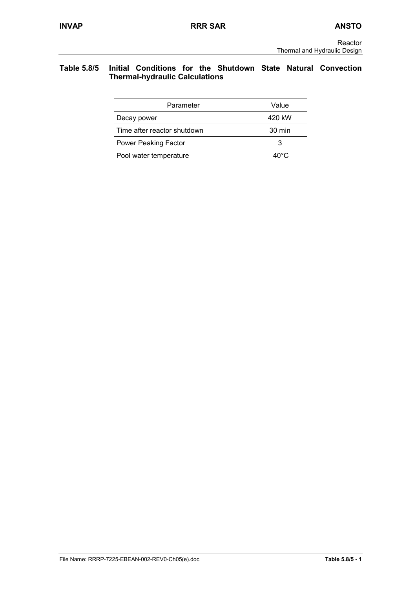## **Table 5.8/5 Initial Conditions for the Shutdown State Natural Convection Thermal-hydraulic Calculations**

| Parameter                   | Value          |
|-----------------------------|----------------|
| Decay power                 | 420 kW         |
| Time after reactor shutdown | 30 min         |
| <b>Power Peaking Factor</b> |                |
| Pool water temperature      | $40^{\circ}$ C |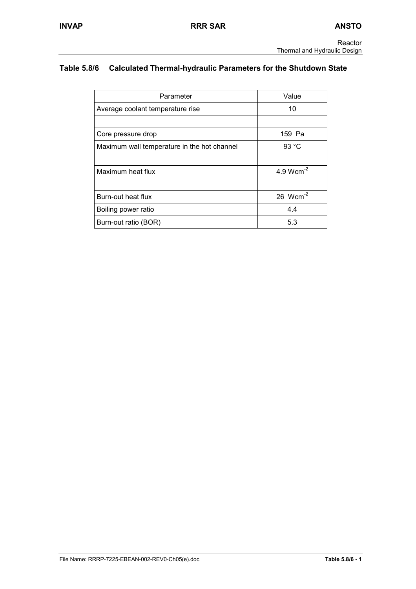# **Table 5.8/6 Calculated Thermal-hydraulic Parameters for the Shutdown State**

| Parameter                                   | Value          |
|---------------------------------------------|----------------|
| Average coolant temperature rise            | 10             |
|                                             |                |
| Core pressure drop                          | 159 Pa         |
| Maximum wall temperature in the hot channel | 93 °C          |
|                                             |                |
| Maximum heat flux                           | 4.9 $Wcm^{-2}$ |
|                                             |                |
| Burn-out heat flux                          | 26 $Wcm-2$     |
| Boiling power ratio                         | 4.4            |
| Burn-out ratio (BOR)                        | 5.3            |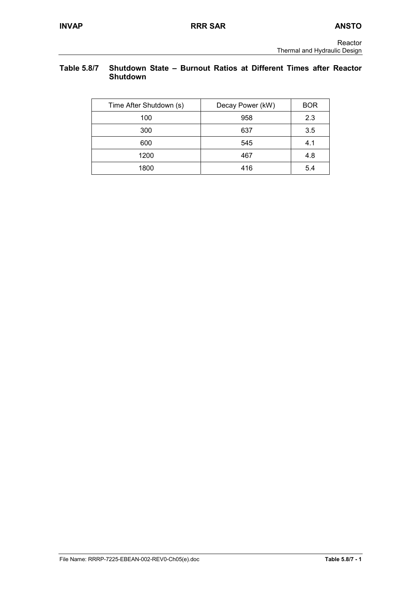## **Table 5.8/7 Shutdown State – Burnout Ratios at Different Times after Reactor Shutdown**

| Time After Shutdown (s) | Decay Power (kW) | <b>BOR</b> |
|-------------------------|------------------|------------|
| 100                     | 958              | 2.3        |
| 300                     | 637              | 3.5        |
| 600                     | 545              | 4.1        |
| 1200                    | 467              | 4.8        |
| 1800                    | 416              | 5.4        |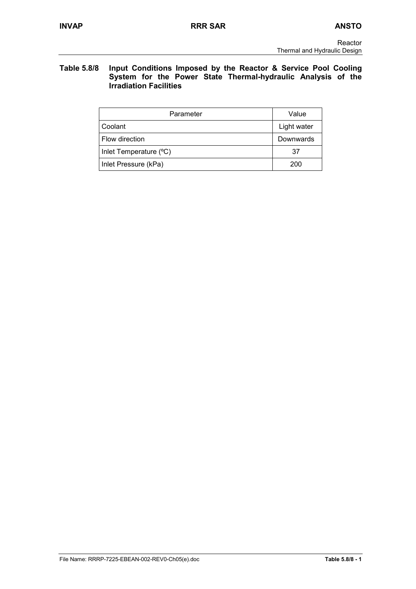### **Table 5.8/8 Input Conditions Imposed by the Reactor & Service Pool Cooling System for the Power State Thermal-hydraulic Analysis of the Irradiation Facilities**

| Parameter              | Value       |
|------------------------|-------------|
| Coolant                | Light water |
| Flow direction         | Downwards   |
| Inlet Temperature (°C) | 37          |
| Inlet Pressure (kPa)   | 200         |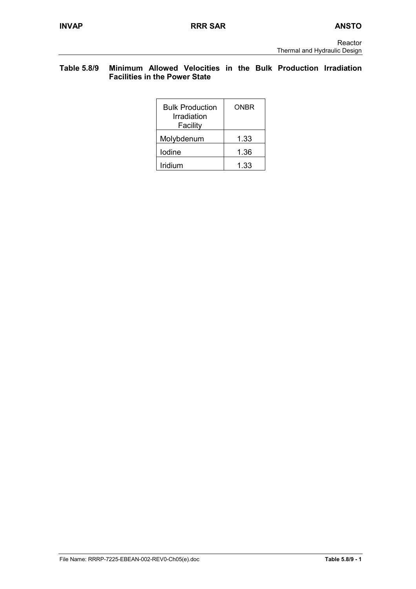## **Table 5.8/9 Minimum Allowed Velocities in the Bulk Production Irradiation Facilities in the Power State**

| <b>Bulk Production</b><br>Irradiation<br>Facility | ONBR |
|---------------------------------------------------|------|
| Molybdenum                                        | 1.33 |
| lodine                                            | 1.36 |
| Iridium                                           | 1.33 |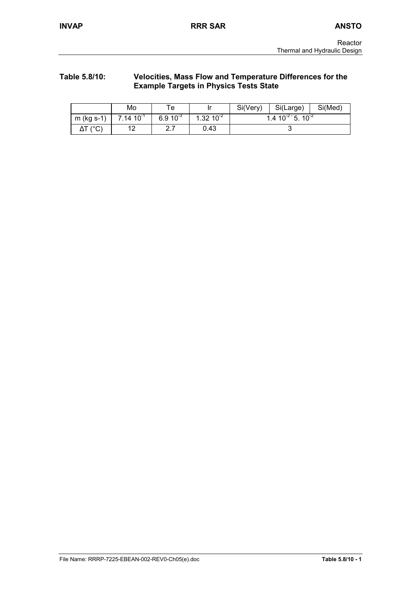#### **Table 5.8/10: Velocities, Mass Flow and Temperature Differences for the Example Targets in Physics Tests State**

|                          | Mo             | $\mathsf{\tau_{e}}$ |                | Si(Very) | Si(Large)                  | Si(Med) |
|--------------------------|----------------|---------------------|----------------|----------|----------------------------|---------|
| $m$ (kg s-1)             | $7.14 10^{-1}$ | $6.9 10^{-3}$       | $1.32~10^{-2}$ |          | 1.4 $10^{-2}$ 5. $10^{-2}$ |         |
| $\Delta \mathsf{T}$ (°C) | 19<br>ॱ        | <u>^ 7</u><br>I     | 0.43           |          |                            |         |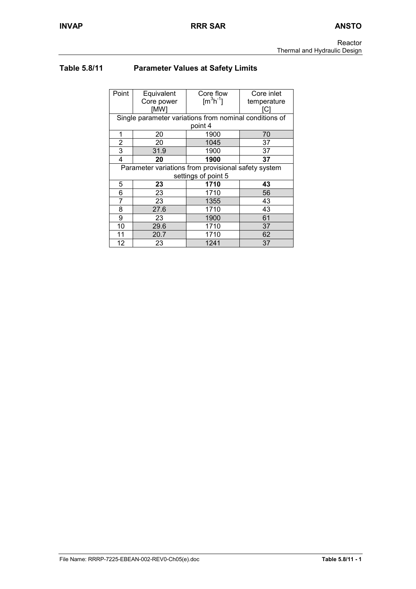# **Table 5.8/11 Parameter Values at Safety Limits**

| Point | Equivalent          | Core flow                                              | Core inlet  |  |
|-------|---------------------|--------------------------------------------------------|-------------|--|
|       | Core power          | $\text{Im}^3\text{h}^{-1}$                             | temperature |  |
|       | [MW]                |                                                        | C           |  |
|       |                     | Single parameter variations from nominal conditions of |             |  |
|       |                     | point 4                                                |             |  |
| 1     | 20                  | 1900                                                   | 70          |  |
| 2     | 20                  | 1045                                                   | 37          |  |
| 3     | 31.9                | 1900                                                   | 37          |  |
| 4     | 20                  | 1900                                                   | 37          |  |
|       |                     | Parameter variations from provisional safety system    |             |  |
|       | settings of point 5 |                                                        |             |  |
| 5     | 23                  | 1710                                                   | 43          |  |
| 6     | 23                  | 1710                                                   | 56          |  |
| 7     | 23                  | 1355                                                   | 43          |  |
| 8     | 27.6                | 1710                                                   | 43          |  |
| 9     | 23                  | 1900                                                   | 61          |  |
| 10    | 29.6                | 1710                                                   | 37          |  |
| 11    | 20.7                | 1710                                                   | 62          |  |
| 12    | 23                  | 1241                                                   | 37          |  |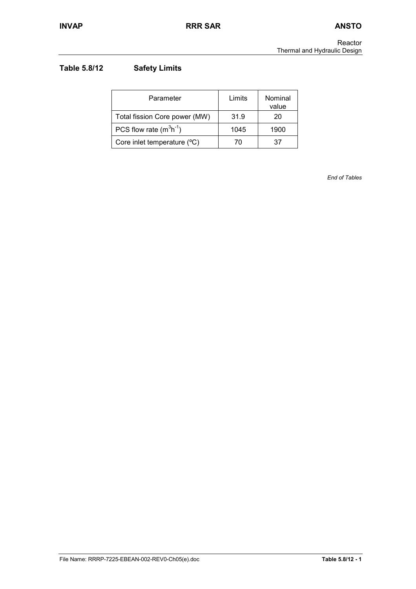# **Table 5.8/12 Safety Limits**

| Parameter                     | Limits | Nominal<br>value |
|-------------------------------|--------|------------------|
| Total fission Core power (MW) | 31.9   | 20               |
| PCS flow rate $(m^3h^1)$      | 1045   | 1900             |
| Core inlet temperature (°C)   | 70     | 37               |

*End of Tables*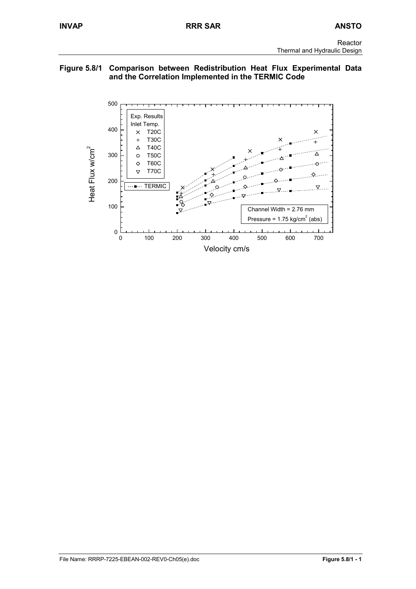## **Figure 5.8/1 Comparison between Redistribution Heat Flux Experimental Data and the Correlation Implemented in the TERMIC Code**

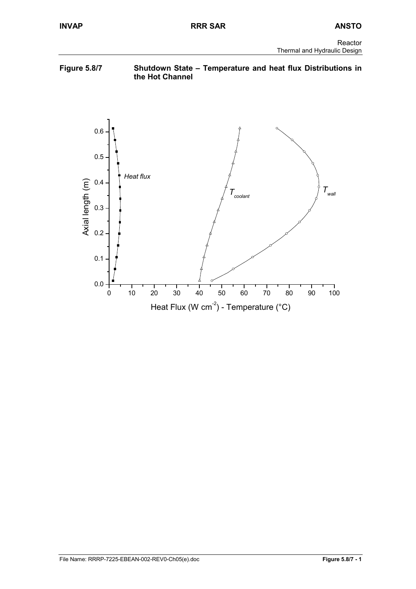## **Figure 5.8/7 Shutdown State – Temperature and heat flux Distributions in the Hot Channel**

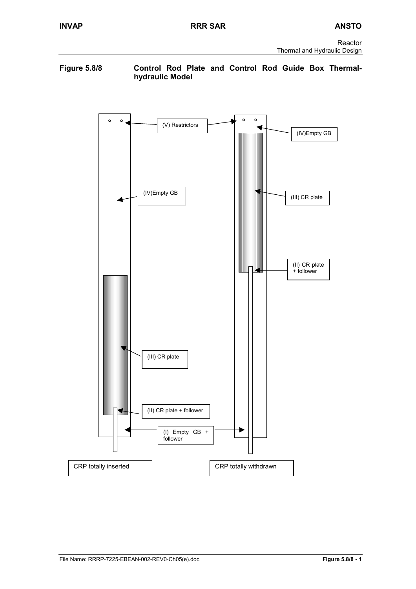### **Figure 5.8/8 Control Rod Plate and Control Rod Guide Box Thermalhydraulic Model**